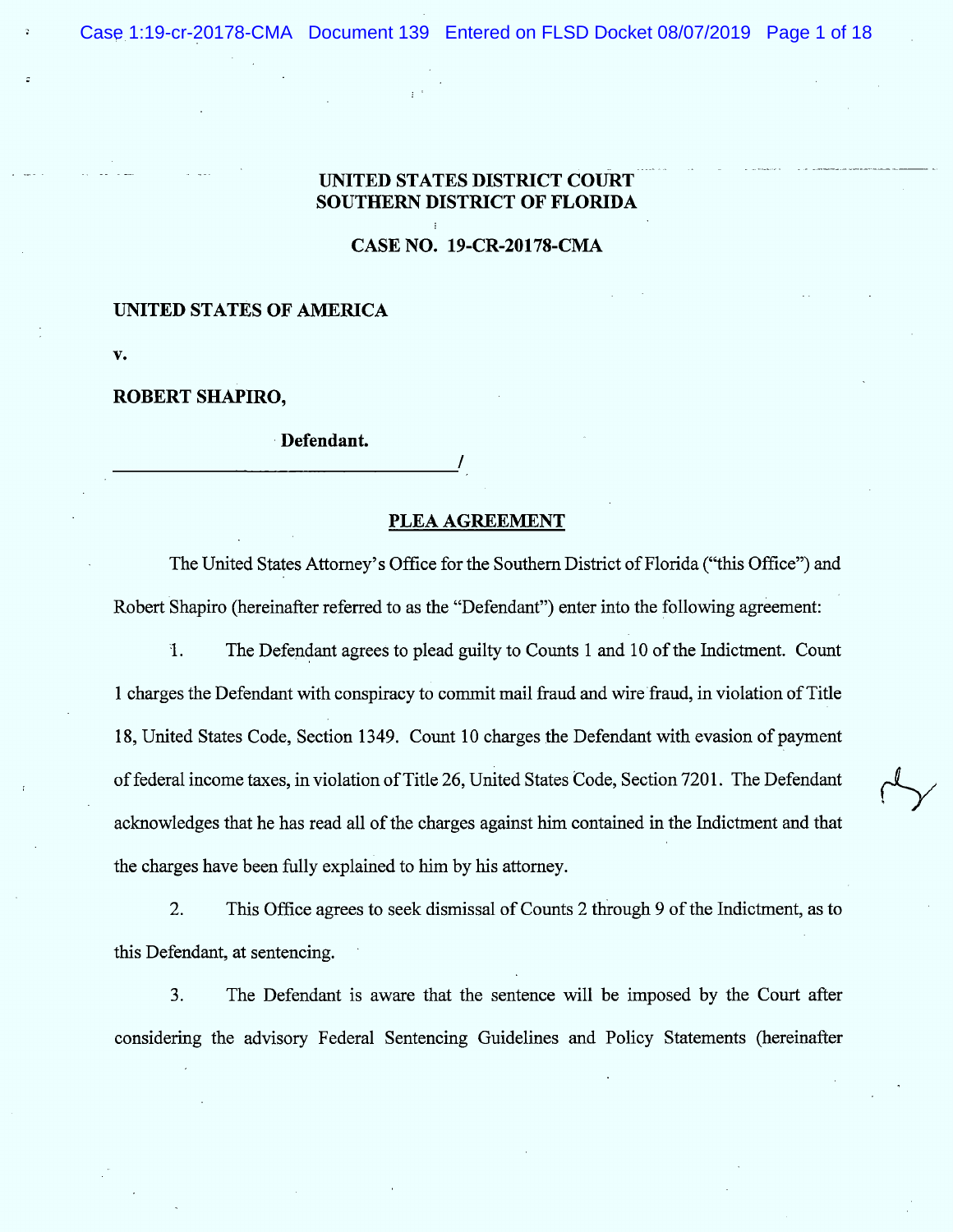# UNITED STATES DISTRICT COURT SOUTHERN DISTRICT OF FLORIDA

CASE NO. 19-CR-20178-CMA

!

## UNITED STATES OF AMERICA

 $\mathbf{v}$ .

.

### ROBERT SHAPIRO,

Defendant.

#### PLEA AGREEMENT

/

The United States Attorney's Office for the Southern District of Florida ("this Office") and Robert Shapiro (hereinafter referred to as the "Defendant") enter into the following agreement:

1. The Defendant agrees to plead guilty to Counts 1 and 10 of the Indictment. Count 1 charges the Defendant with conspiracy to commit mail fraud and wire fraud, in violation of Title 18, United States Code, Section 1349. Count 10 charges the Defendant with evasion of payment of federal income taxes, in violation of Title 26, United States Code, Section 7201. The Defendant acknowledges that he has read all of the charges against him contained in the Indictment and that the charges have been fully explained to him by his attorney.

This Office agrees to seek dismissal of Counts 2 through 9 of the Indictment, as to  $2.$ this Defendant, at sentencing.

3. The Defendant is aware that the sentence will be imposed by the Court after considering the advisory Federal Sentencing Guidelines and Policy Statements (hereinafter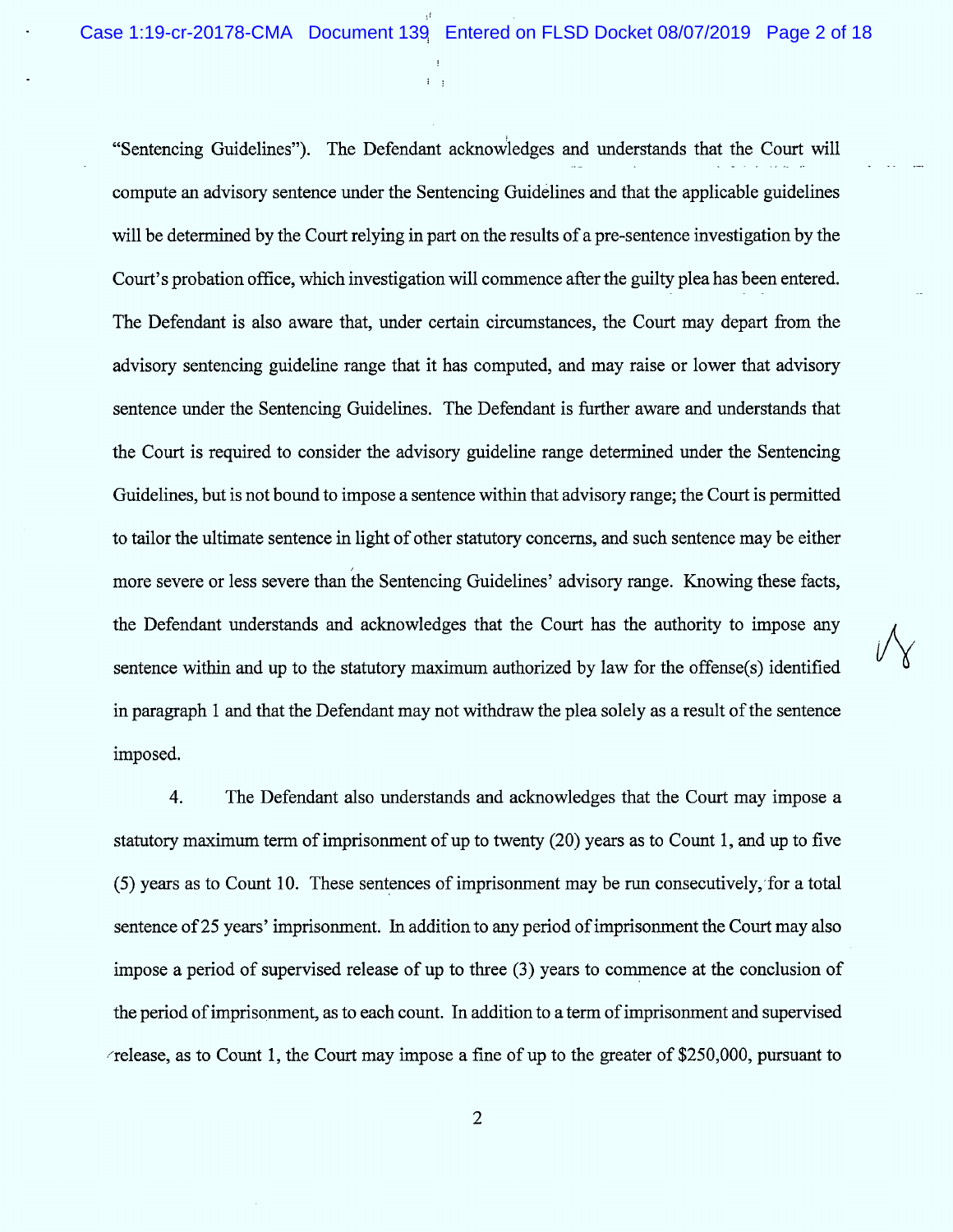$\bigvee$ 

"Sentencing Guidelines"). The Defendant acknowledges and understands that the Court will compute an advisory sentence under the Sentencing Guidelines and that the applicable guidelines will be determined by the Court relying in part on the results of a pre-sentence investigation by the Court's probation office, which investigation will commence after the guilty plea has been entered. The Defendant is also aware that, under certain circumstances, the Court may depart from the advisory sentencing guideline range that it has computed, and may raise or lower that advisory sentence under the Sentencing Guidelines. The Defendant is further aware and understands that the Court is required to consider the advisory guideline range determined tmder the Sentencing Guidelines, but is not bound to impose a sentence within that advisory range; the Court is permitted to tailor the ultimate sentence in light of other statutory concerns, and such sentence may be either more severe or less severe than the Sentencing Guidelines' advisory range. Knowing these facts, the Defendant understands and acknowledges that the Court has the authority to impose any sentence within and up to the statutory maximum authorized by law for the offense(s) identified in paragraph 1 and that the Defendant may not withdraw the plea solely as a result of the sentence imposed.

 $\Gamma_{\rm eff}$ 

4. The Defendant also understands and acknowledges that the Court may impose a statutory maximum term of imprisonment of up to twenty  $(20)$  years as to Count 1, and up to five  $(5)$  years as to Count 10. These sentences of imprisonment may be run consecutively, for a total sentence of 25 years' imprisonment. In addition to any period of imprisonment the Court may also impose a period of supervised release of up to three (3) years to commence at the conclusion of the period of imprisonment, as to each count. In addition to a term of imprisonment and supervised  $\epsilon$  release, as to Count 1, the Court may impose a fine of up to the greater of \$250,000, pursuant to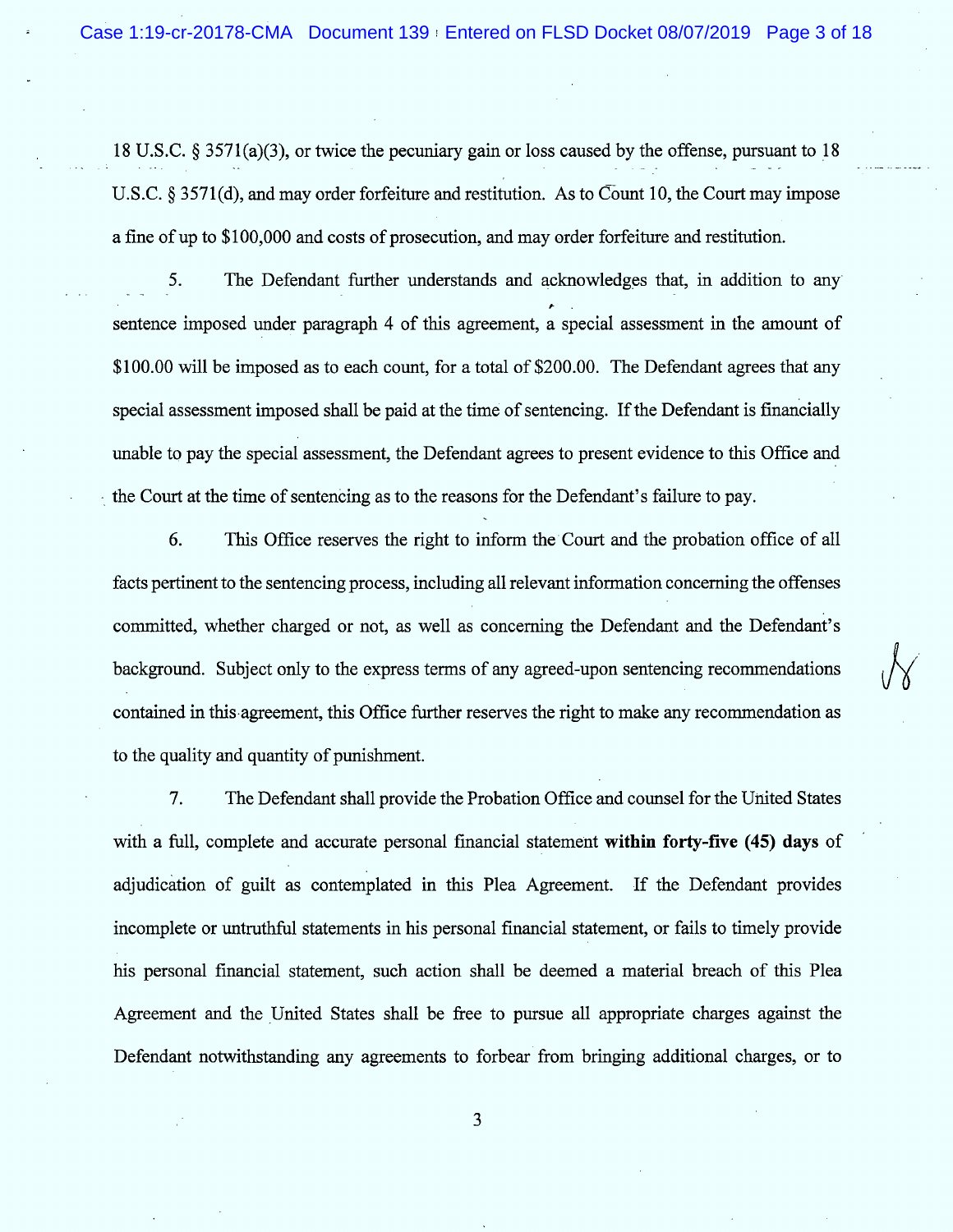18 U.S.C. § 3571(a)(3), or twice the pecuniary gain or loss caused by the offense, pursuant to 18 U.S.C. § 3571(d), and may order forfeiture and restitution. As to Count 10, the Court may impose a fine of up to \$100,000 and costs of prosecution, and may order forfeiture and restitution.

5. The Defendant further understands and acknowledges that, in addition to any sentence imposed under paragraph 4 of this agreement, a special assessment in the amount of \$100.00 will be imposed as to each count, for a total of \$200.00. The Defendant agrees that any special assessment imposed shall be paid at the time of sentencing. If the Defendant is financially unable to pay the special assessment, the Defendant agrees to present evidence to this Office and the Court at the time of sentencing as to the reasons for the Defendant's failure to pay.

6. This Office reserves the right to inform the Court and the probation office of all facts pertinent to the sentencing process, including all relevant information concerning the offenses committed, whether charged or not, as well as concerning the Defendant and the Defendant's background. Subject only to the express terms of any agreed-upon sentencing recommendations contained in this agreement, this Office further reserves the right to make any recommendation as to the quality and quantity of punishment.

7. The Defendant shall provide the Probation Office and counsel for the United States with a full, complete and accurate personal financial statement within forty-five (45) days of adjudication of guilt as contemplated in this Plea Agreement. If the Defendant provides incomplete or untruthful statements in his personal financial statement, or fails to timely provide his personal financial statement, such action shall be deemed a material breach of this Plea Agreement and the United States shall be free to pursue all appropriate charges against the Defendant notwithstanding any agreements to forbear from bringing additional charges, or to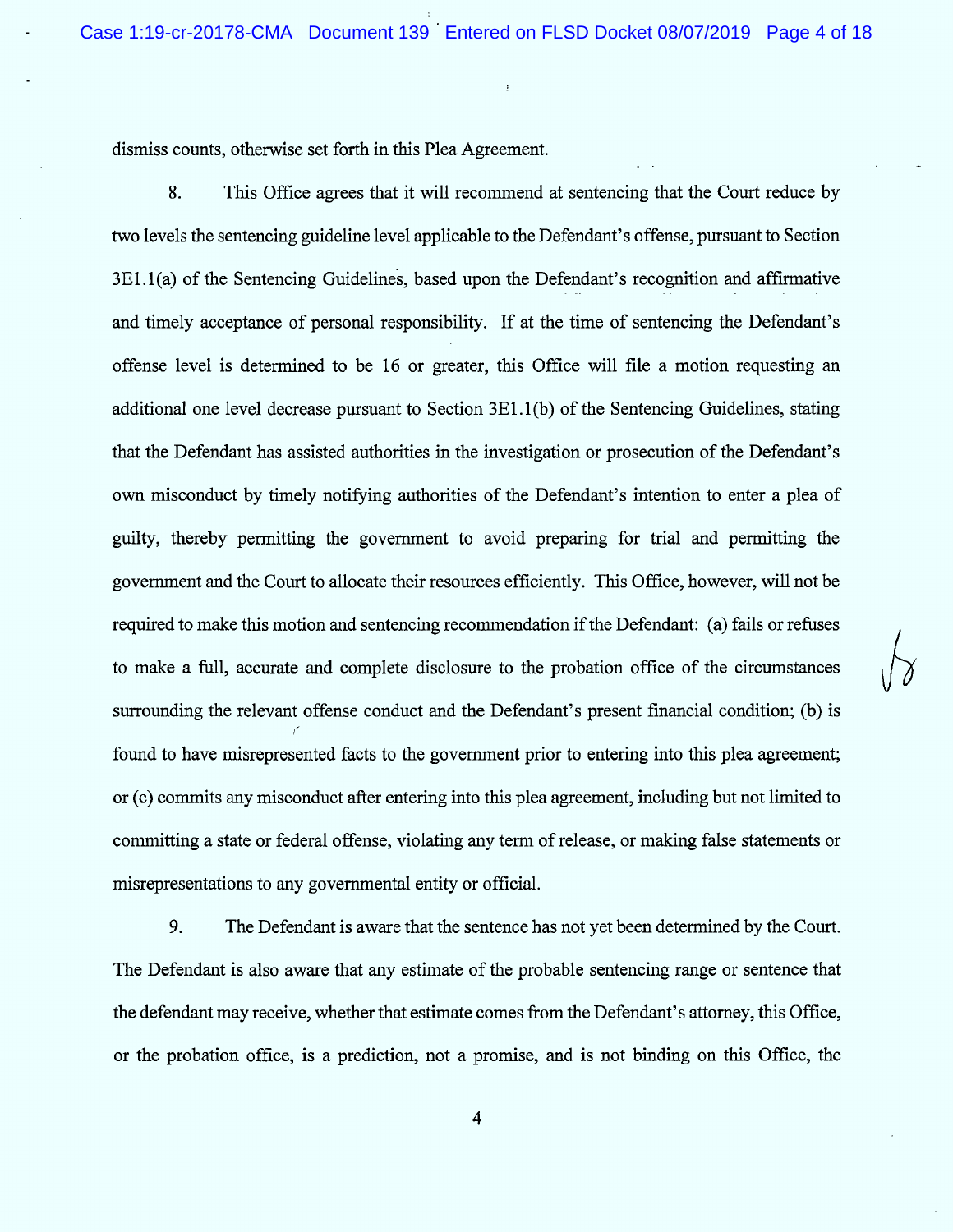dismiss counts, otherwise set forth in this Plea Agreement.

8. This Office agrees that it will recommend at sentencing that the Court reduce by 'two levels the sentencing guideline level applicable to the Defendant's offense, pursuant to Section  $3E1.1(a)$  of the Sentencing Guidelines, based upon the Defendant's recognition and affirmative and timely acceptance of personal responsibility. If at the time of sentencing the Defendant's offense level is determined to be 16 or greater, this Office will file a motion requesting an additional one level decrease pursuant to Section 3E1.1(b) of the Sentencing Guidelines, stating that the Defendant has assisted authorities in the investigation or prosecution of the Defendant's own misconduct by timely notifying authorities of the Defendant's intention to enter a plea of guilty, thereby permitting the government to avoid preparing for trial and permitting the government and the Court to allocate their resources efficiently. This Office, however, will not be required to make this motion and sentencing recommendation if the Defendant: (a) fails or refuses to make a full, accurate and complete disclosure to the probation office of the circumstances surrounding the relevant offense conduct and the Defendant's present fnancial condition; (b) is found to have misrepresented facts to the government prior to entering into this plea agreement; or (c) commits any misconduct after entering into this plea agreement, including but not limited to committing a state or federal offense, violating any term of release, or making false statements or misrepresentations to any governmental entity or official.

 $\sqrt{2}$ 

9. The Defendant is aware that the sentence has not yet been determined by the Court. The Defendant is also aware that any estimate of the probable sentencing range or sentence that the defendant may receive, whether that estimate comes from the Defendant's attorney, this Office, or the probation office, is a prediction, not a promise, and is not binding on this Office, the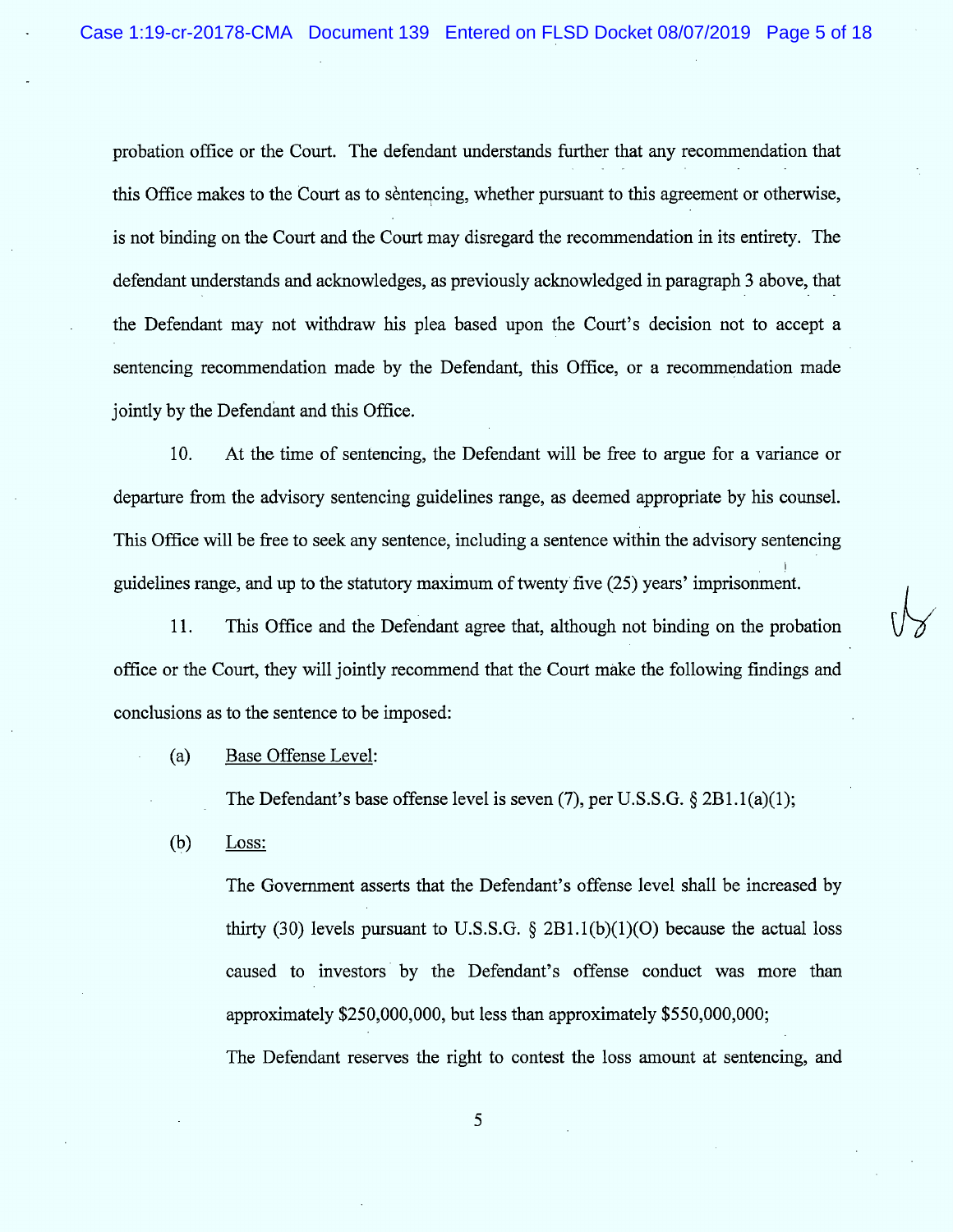probation office or the Court. The defendant understands further that any recommendation that this Office makes to the Court as to sentencing, whether pursuant to this agreement or otherwise, is not binding on the Court and the Court may disregard the recommendation in its entirety. The defendant understands and acknowledges, as previously acknowledged in paragraph 3 above, that the Defendant may not withdraw his plea based upon the Court's decision not to accept a sentencing recommendation made by the Defendant, this Office, or a recommendation made jointly by the Defendant and this Office.

10. At the time of sentencing, the Defendant will be free to argue for a variance or departure from the advisory sentencing guidelines range, as deemed appropriate by his counsel. This Office will be free to seek any sentence, including a sentence within the advisory sentencing guidelines range, and up to the statutory maximum of twenty five (25) years' imprisonment.

11. This Office and the Defendant agree that, although not binding on the probation office or the Court, they will jointly recommend that the Court màke the following fmdings and conclusions as to the sentence to be imposed:

(a) Base Offense Level:

The Defendant's base offense level is seven  $(7)$ , per U.S.S.G. § 2B1.1(a)(1);

V

(b) Loss:

> The Government asserts that the Defendant's offense level shall be increased by thirty (30) levels pursuant to U.S.S.G.  $\S$  2B1.1(b)(1)(O) because the actual loss caused to investors by the Defendant's offense conduct was more than approximately \$250,000,000, but less than approximately \$550,000,000; The Defendant reserves the right to contest the loss amount at sentencing, and

> > $\mathfrak{s}$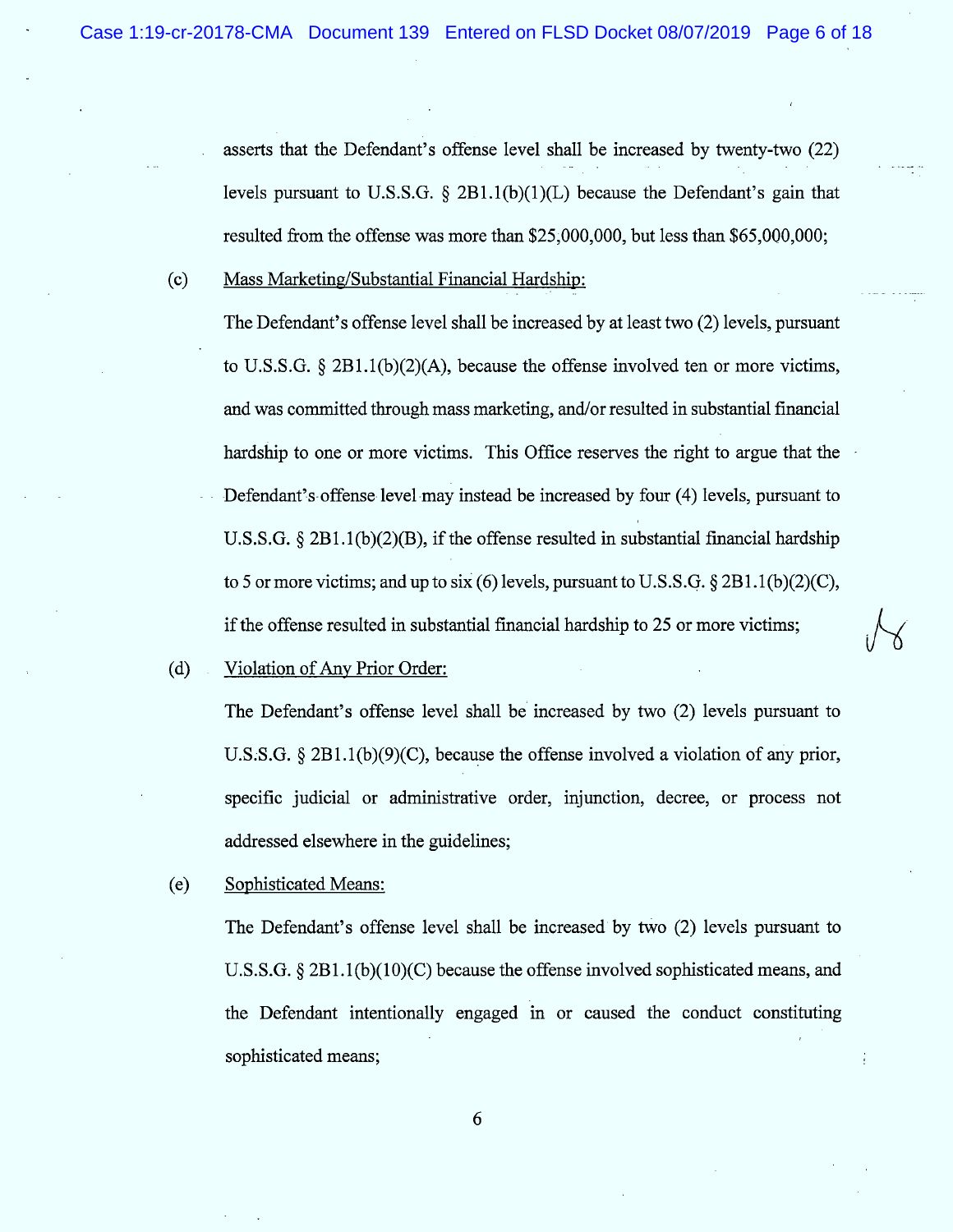asserts that the Defendant's offense level shall be increased by twenty-two (22) levels pursuant to U.S.S.G.  $\S$  2B1.1(b)(1)(L) because the Defendant's gain that resulted from the offense was more than \$25,000,000, but less than \$65,000,000;

(c) Mass Marketing/Substantial Financial Hardship:

The Defendant's offense level shall be increased by at least two (2) levels, pursuant to U.S.S.G.  $\S 2B1.1(b)(2)(A)$ , because the offense involved ten or more victims, and was committed through mass marketing, and/or resulted in substantial financial hardship to one or more victims. This Office reserves the right to argue that the Defendant's offense level may instead be increased by four (4) levels, pursuant to 1 U.S.S.G.  $\S 2B1.1(b)(2)(B)$ , if the offense resulted in substantial financial hardship to 5 or more victims; and up to six (6) levels, pursuant to U.S.S.G.  $\S 2B1.1(b)(2)(C)$ , if the offense resulted in substantial financial hardship to 25 or more victims;

(d) Violation of Any Prior Order:

The Defendant's offense level shall be increased by two (2) levels pursuant to U.S.S.G.  $\S 2B1.1(b)(9)(C)$ , because the offense involved a violation of any prior, specific judicial or administrative order, injunction, decree, or process not addressed elsewhere in the guidelines;

 $\sqrt{ }$ 

(e) Sophisticated Means:

The Defendant's offense level shall be increased by two  $(2)$  levels pursuant to U.S.S.G.  $\S 2B1.1(b)(10)(C)$  because the offense involved sophisticated means, and the Defendant intentionally engaged in or caused the conduct constituting sophisticated means;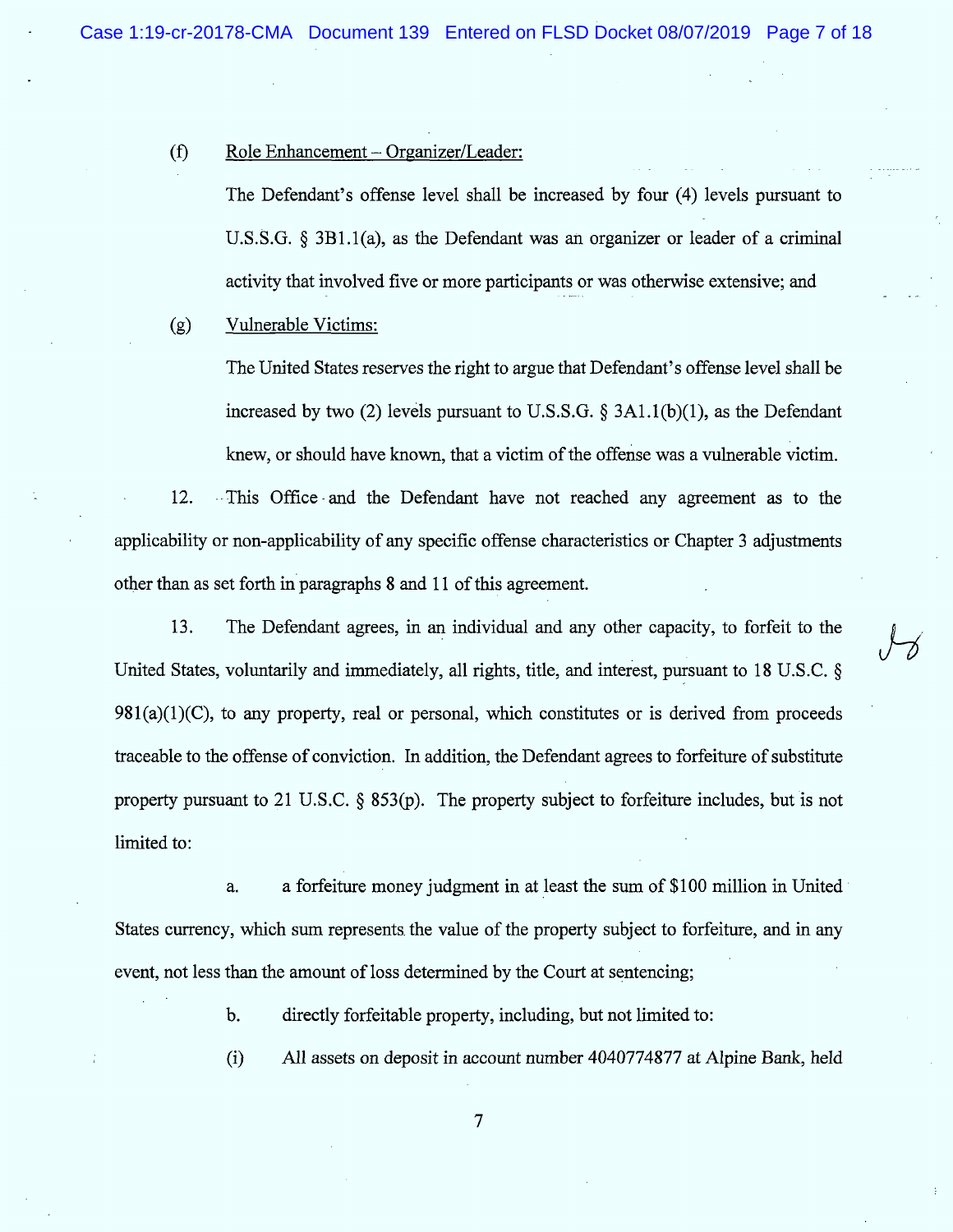$\overline{\mathcal{J}}$ 

#### $(f)$  Role Enhancement - Organizer/Leader:

The Defendant's offense level shall be increased by four (4) levels pursuant to U.S.S.G.  $\S$  3B1.1(a), as the Defendant was an organizer or leader of a criminal activity that involved five or more participants or was otherwise extensive; and

# (g) Vulnerable Victims:

The United States reserves the right to argue that Defendant's offense level shall be increased by two (2) levels pursuant to U.S.S.G.  $\S$  3A1.1(b)(1), as the Defendant knew, or should have known, that a victim of the offense was a vulnerable victim .

12. . This Office and the Defendant have not reached any agreement as to the applicability or non-applicability of any specific offense characteristics or Chapter 3 adjustments other than as set forth in paragraphs 8 and 11 of this agreement.

13. The Defendant agrees, in an individual and any other capacity, to forfeit to the United States, voluntarily and immediately, all rights, title, and interest, pursuant to 18 U.S.C. §  $981(a)(1)(C)$ , to any property, real or personal, which constitutes or is derived from proceeds traceable to the offense of conviction. In addition, the Defendant agrees to forfeiture of substitute property pursuant to 21 U.S.C.  $\S$  853(p). The property subject to forfeiture includes, but is not limited to:

a. States currency, which sum represents the value of the property subject to forfeiture, and in any event, not less than the amount of loss determined by the Court at sentencing; a forfeiture money judgment in at least the sum of \$100 million in United

b. directly forfeitable property, including, but not limited to:

(i) All assets on deposit in account number 4040774877 at Alpine Bank, held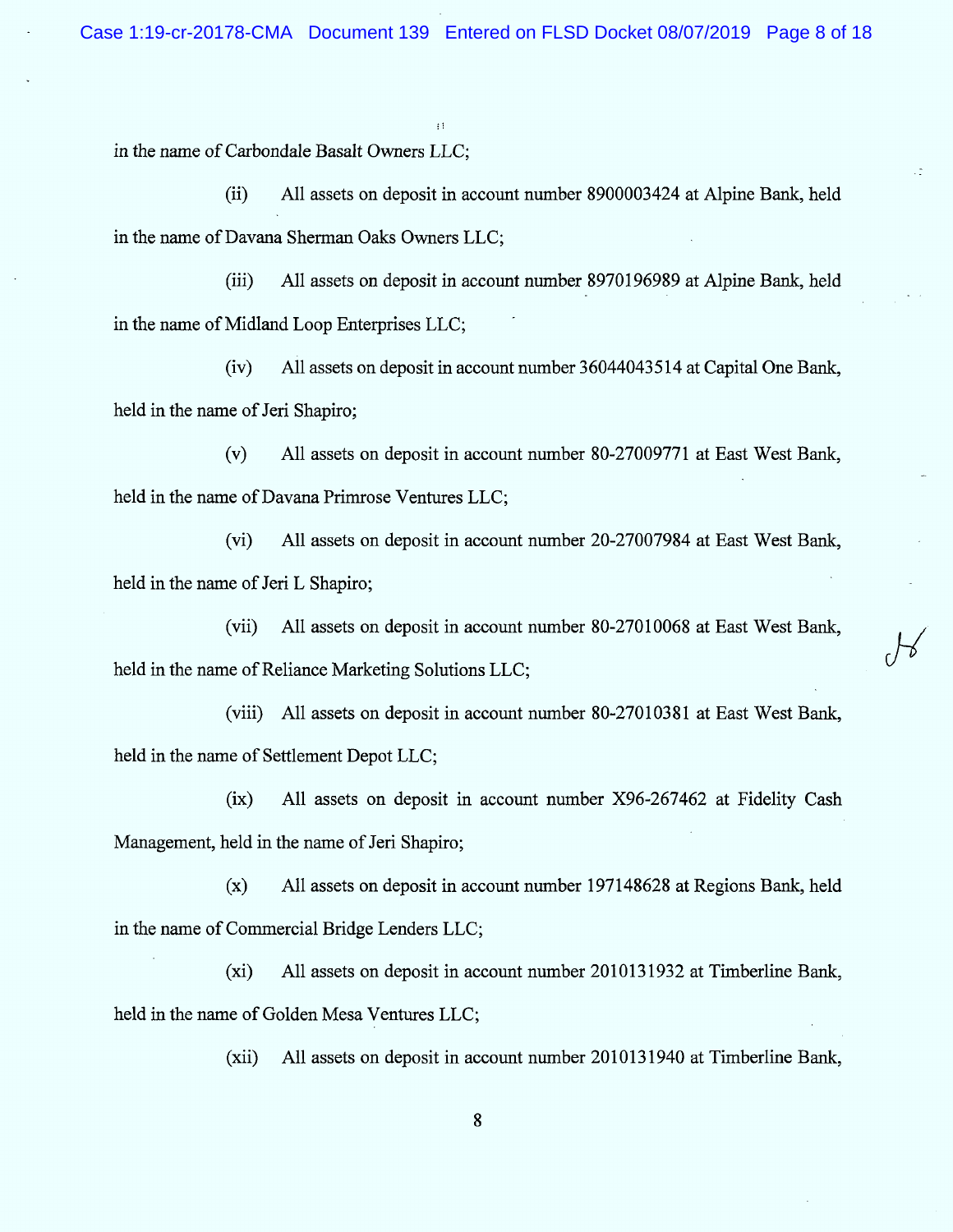$\pm$  1

in the name of Carbondale Basalt Owners LLC;

(ii) All assets on deposit in account number 8900003424 at Alpine Bank, held in the name of Davana Sherman Oaks Owners LLC;

(iii) All assets on deposit in account number 8970196989 at Alpine Bank, held in the name of Midland Loop Enterprises LLC;

(iv) All assets on deposit in account number 36044043514 at Capital One Bank, held in the name of Jeri Shapiro;

(v) All assets on deposit in account number 80-27009771 at East West Bank, held in the name of Davana Primrose Ventures LLC;

(vi) All assets on deposit in account number 20-27007984 at East West Bank, held in the name of Jeri L Shapiro;

(vii) All assets on deposit in account number 80-27010068 at East West Bank, held in the name of Reliance Marketing Solutions LLC;

(viii) All assets on deposit in account number 80-27010381 at East West Bank, held in the name of Settlement Depot LLC;

 $(ix)$  All assets on deposit in account number X96-267462 at Fidelity Cash Management, held in the name of Jeri Shapiro;

 $(x)$  All assets on deposit in account number 197148628 at Regions Bank, held in the name of Commercial Bridge Lenders LLC;

 $(xi)$  All assets on deposit in account number 2010131932 at Timberline Bank, held in the name of Golden Mesa Ventures LLC;

(xii) All assets on deposit in account number 2010131940 at Timberline Bank,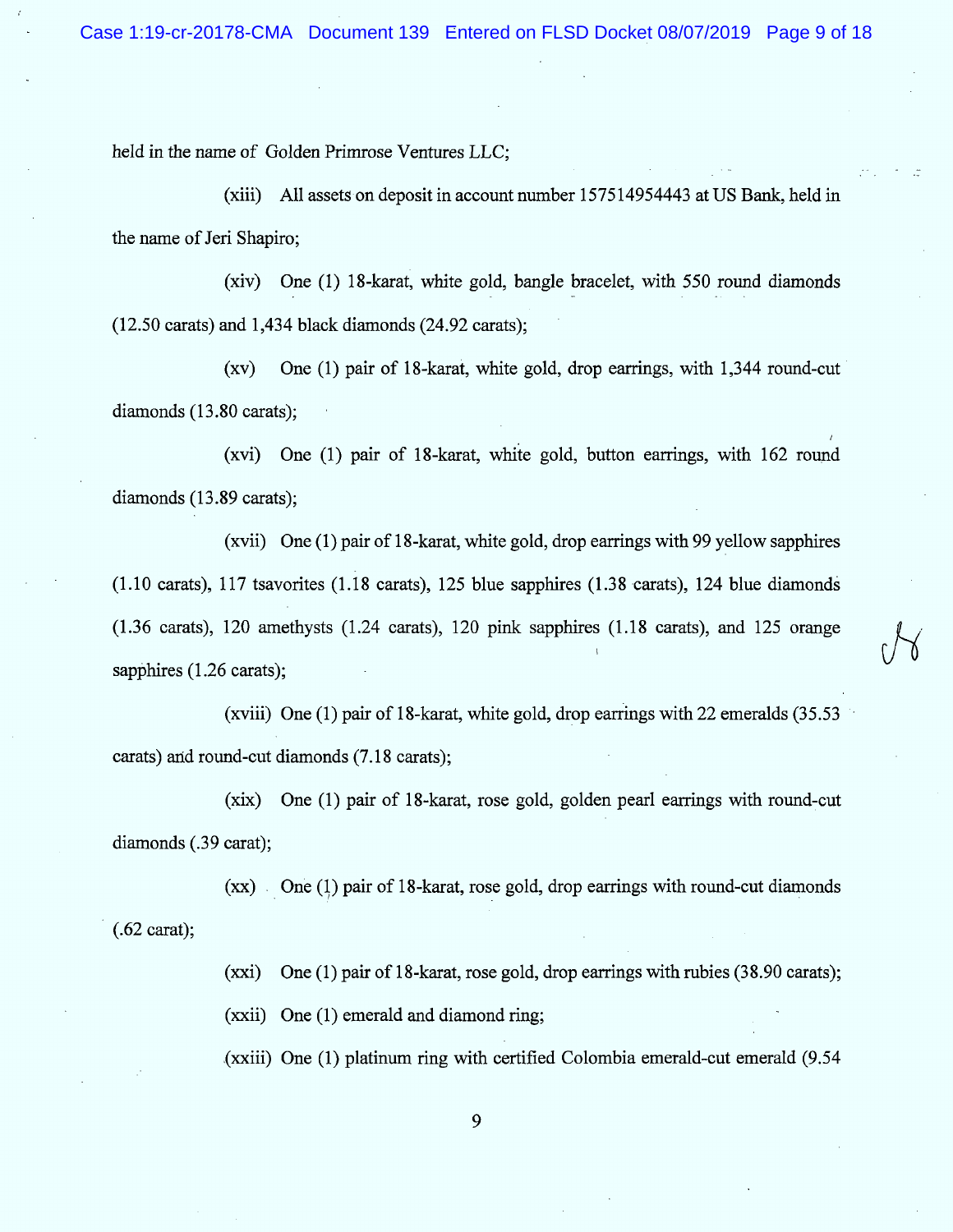/

held in the name of Golden Primrose Ventures LLC;

 $(xiii)$  All assets on deposit in account number 157514954443 at US Bank, held in the name of Jeri Shapiro;

(xiv) One (1) l8-karat, white gold, bangle bracelet, with 550 round dinmonds  $(12.50 \text{ carats})$  and 1,434 black diamonds  $(24.92 \text{ carats})$ ;

 $(xv)$  One (1) pair of 18-karat, white gold, drop earrings, with 1,344 round-cut diamonds (13.80 carats);

(xvi) One  $(1)$  pair of 18-karat, white gold, button earrings, with 162 round diamonds  $(13.89 \text{ carats});$ 

(xvii) One  $(1)$  pair of 18-karat, white gold, drop earrings with 99 yellow sapphires (1.10 carats), 117 tsavorites (1.18 carats), 125 blue sapphires (1.38 carats), 124 blue diamondâ (1.36 carats), 120 amethysts (1.24 carats), 120 pink sapphires (1.18 carats), and 125 orange sapphires  $(1.26 \text{ carats})$ :

(xviii) One (1) pair of l8-karat, white gold, drop earrings with 22 emeralds (35.53 carats) and round-cut diamonds (7.18 carats);

 $(xix)$  One (1) pair of 18-karat, rose gold, golden pearl earrings with round-cut diamonds (.39 carat);

 $(x x)$  One (1) pair of 18-karat, rose gold, drop earrings with round-cut diamonds (.62 carat);

(xxi) One (1) pair of 18-karat, rose gold, drop earrings with rubies  $(38.90 \text{ carats})$ ;

 $(xxii)$  One  $(1)$  emerald and diamond ring;

 $(xxii)$  One (1) platinum ring with certified Colombia emerald-cut emerald  $(9.54)$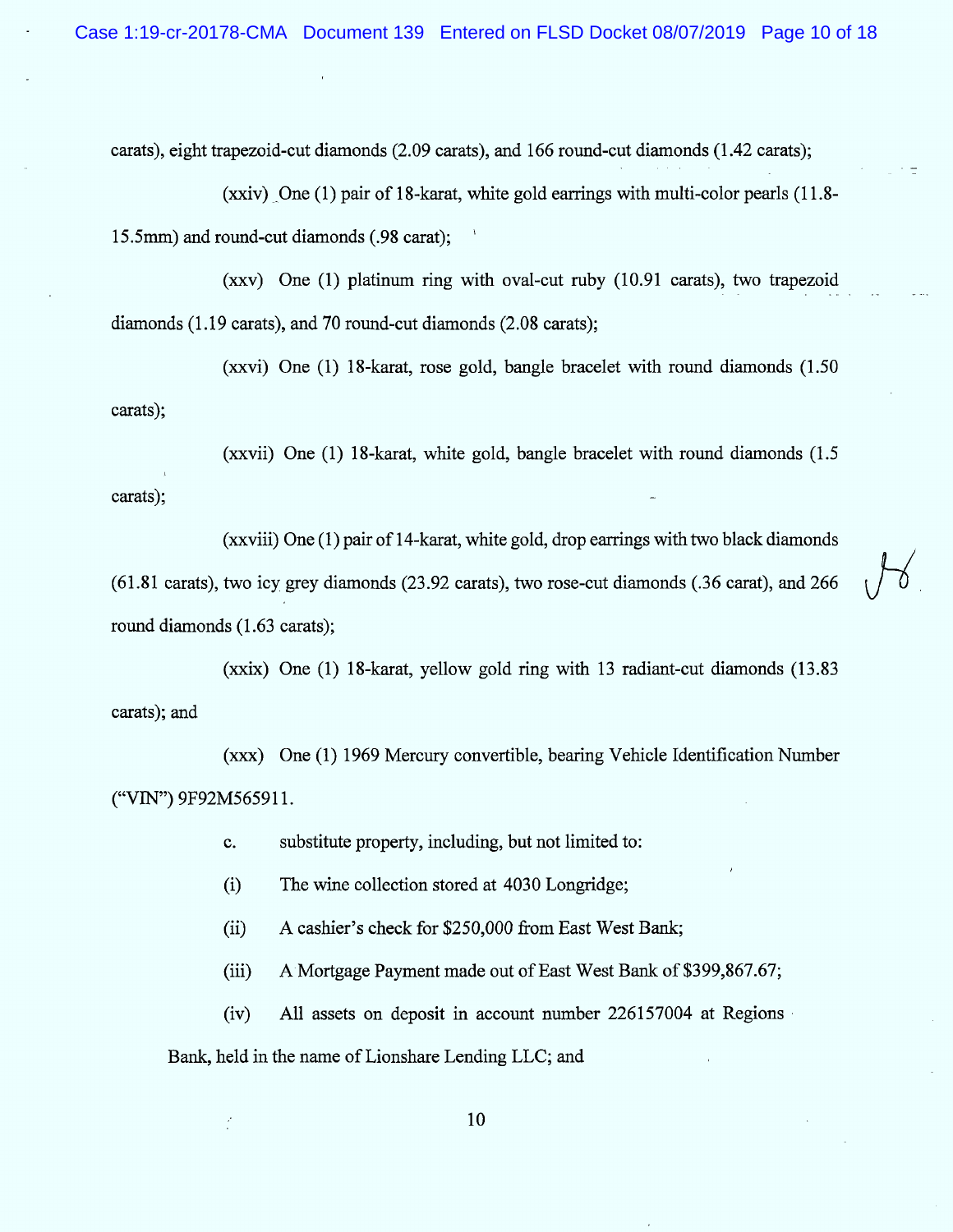carats), eight trapezoid-cut diamonds (2.09 carats), and 166 round-cut diamonds (1.42 carats);

(xxiv) One  $(1)$  pair of 18-karat, white gold earrings with multi-color pearls  $(11.8$ -15.5mm) and round-cut diamonds (.98 carat);

(xxv) One  $(1)$  platinum ring with oval-cut ruby  $(10.91 \text{ carats})$ , two trapezoid diamonds  $(1.19 \text{ carats})$ , and 70 round-cut diamonds  $(2.08 \text{ carats})$ ;

(xxvi) One  $(1)$  18-karat, rose gold, bangle bracelet with round diamonds  $(1.50)$ carats);

(xxvii) One  $(1)$  18-karat, white gold, bangle bracelet with round diamonds  $(1.5)$ carats);

 $(x x viii)$  One  $(1)$  pair of 14-karat, white gold, drop earrings with two black diamonds  $(61.81 \text{ carats})$ , two icy grey diamonds  $(23.92 \text{ carats})$ , two rose-cut diamonds  $(.36 \text{ carat})$ , and  $266$ round diamonds (1.63 carats);

(xxix) One  $(1)$  18-karat, yellow gold ring with 13 radiant-cut diamonds  $(13.83)$ carats); and

 $(xxx)$  One (1) 1969 M ercury convertible, bearing Vehicle Identification Number ("VIN") 9F92M565911.

> substitute property, including, but not limited to:  $C_{\star}$

(i) The wine collection stored at 4030 Longridge;

 $(ii)$  A cashier's check for \$250,000 from East West Bank;

(iii) A Mortgage Payment made out of East West Bank of \$399,867.67;

 $(iv)$  All assets on deposit in account number 226157004 at Regions

Bank, held in the name of Lionshare Lending LLC; and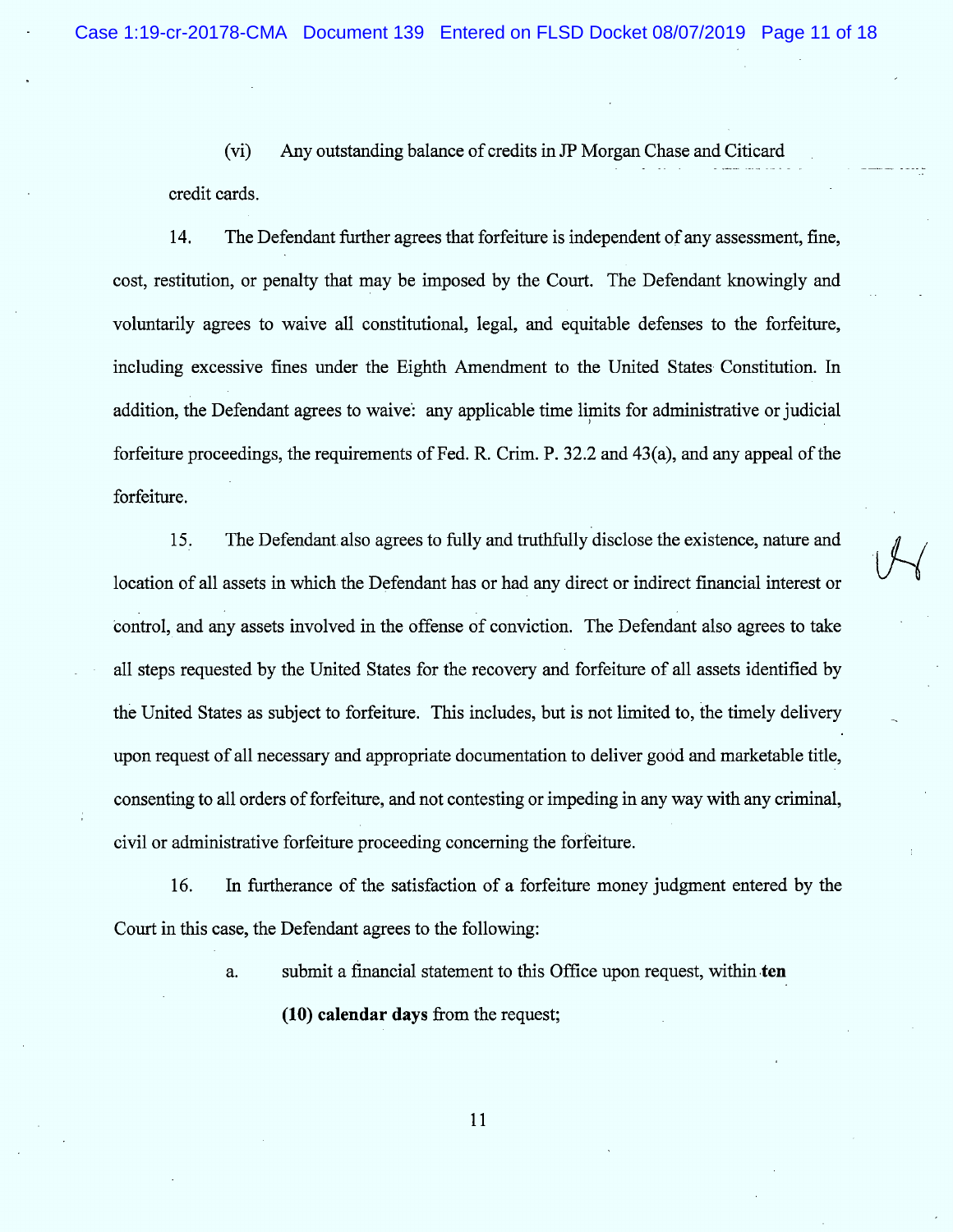(vi) Any outstanding balance of credits in JP Morgan Chase and Citicard credit cards.

14. The Defendant further agrees that forfeiture is independent of any assessment, fine, cost, restitution, or penalty that may be imposed by the Court. The Defendant knowingly and voluntarily agrees to waive all constitutional, legal, and equitable defenses to the forfeiture, including excessive fines under the Eighth Amendment to the United States Constitution. In . addition, the Defendant agrees to waive: any applicable time limits for administrative or judicial forfeiture proceedings, the requirements of Fed. R. Crim. P. 32.2 and 43(a), and any appeal of the forfeiture.

l D. The Detendant also agrees to fully and truthfully disclose the existence, nature and<br>location of all assets in which the Defendant has or had any direct or indirect financial interest or control, and any assets involved in the offense of conviction. The Defendant also agrees to take all steps requested by the United States for the recovery and forfeiture of all assets identified by the United States as subject to forfeiture. This includes, but is not limited to, the timely delivery upon request of all necessary and appropriate documentation to deliver good and marketable title, consenting to a11 orders of forfeiture, and not contesting or im peding in any way with any criminal, civil or administrative forfeiture proceeding concerning the forfeiture.

16. In furtherance of the satisfaction of a forfeiture money judgment entered by the Court in this case, the Defendant agrees to the following:

a. submit a financial statement to this Office upon request, within ten

 $(10)$  calendar days from the request;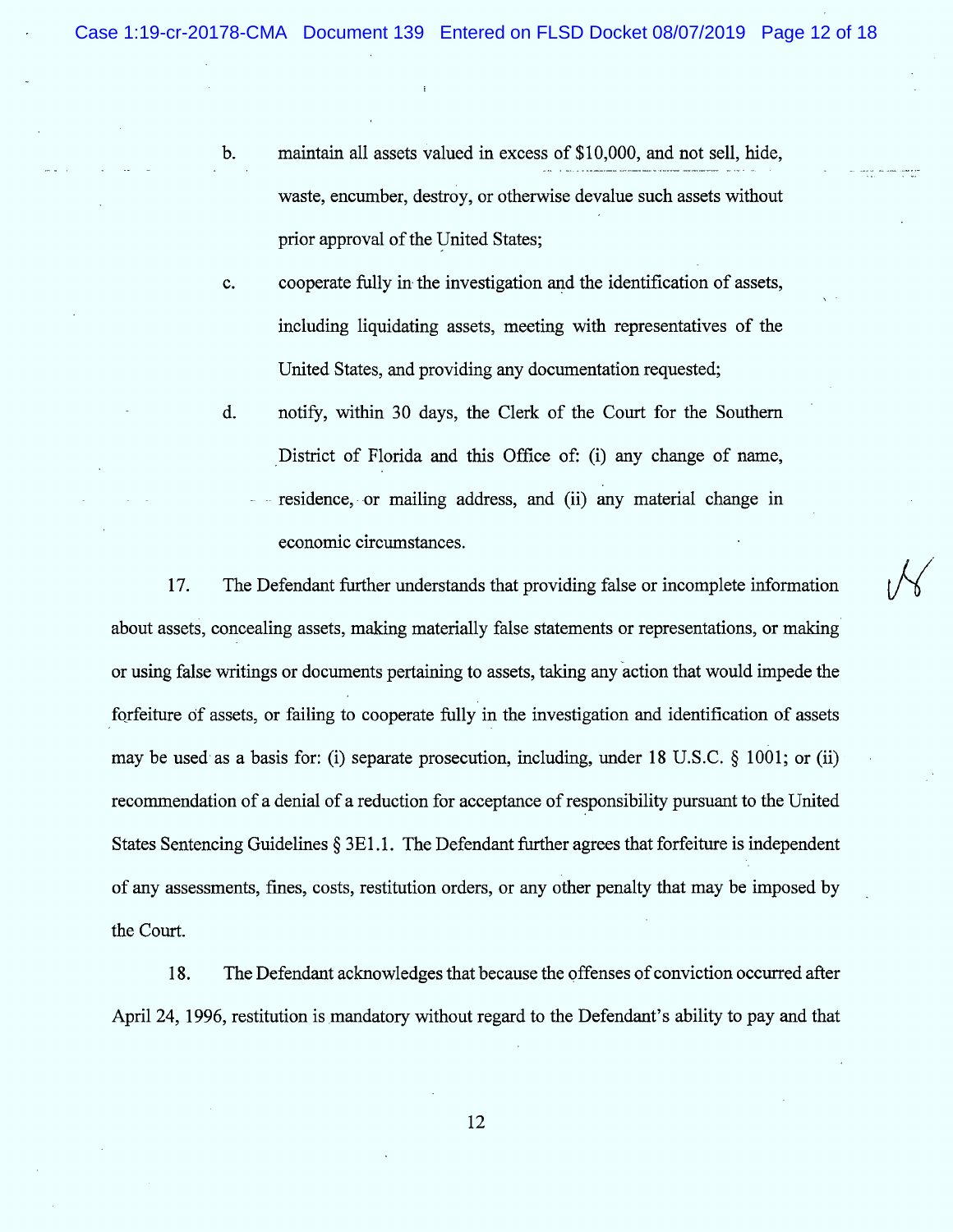$\sqrt{}$ 

- maintain all assets valued in excess of \$10,000, and not sell, hide,  $<sub>b</sub>$ </sub> waste, encumber, destroy, or otherwise devalue such assets without prior approval of the United States;
- cooperate fully in the investigation and the identification of assets, c. including liquidating assets, meeting with representatives of the United States, and providing any documentation requested;
- notify, within 30 days, the Clerk of the Court for the Southern District of Florida and this Office of: (i) any change of name, residence, or mailing address, and (ii) any material change in economic circum stances. d.

17. The Defendant further understands that providing false or incomplete information about assets, concealing assets, making materially false statements or representations, or making or using false writings or documents pertaining to assets, taking any action that would impede the forfeiture of assets, or failing to cooperate fully in the investigation and identification of assets may be used as a basis for: (i) separate prosecution, including, under 18 U.S.C.  $\S$  1001; or (ii) recommendation of a denial of a reduction for acceptance of responsibility pursuant to the United States Sentencing Guidelines  $\S 3E1.1$ . The Defendant further agrees that forfeiture is independent of any assessm ents, fines, costs, restitution orders, or any other penalty that may be imposed by the Court.

The Defendant acknowledges that because the pffenses of conviction occurred after 18. April 24, 1996, restitution is mandatory without regard to the Defendant's ability to pay and that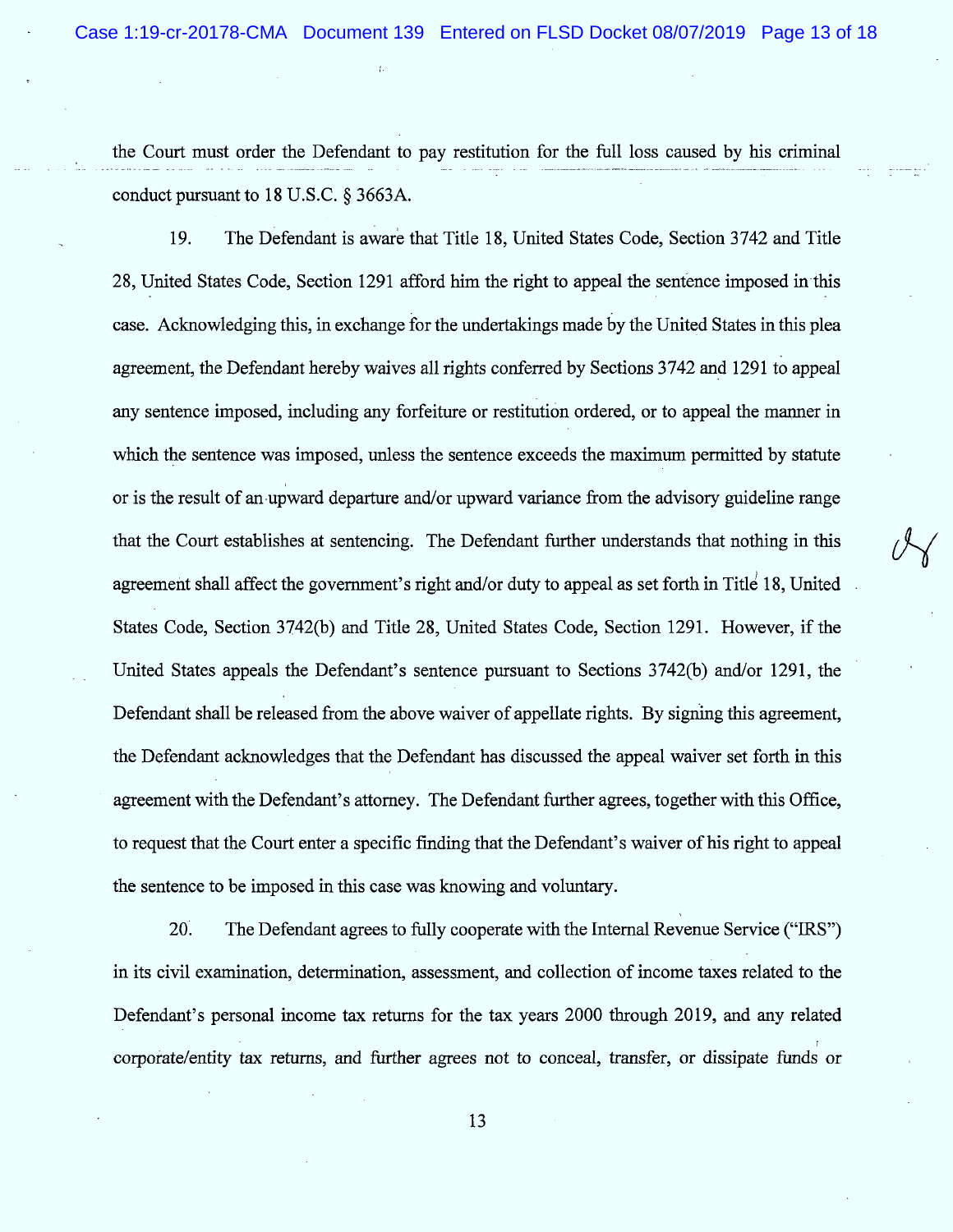the Court must order the Defendant to pay restitution for the full loss caused by his criminal conduct pursuant to 18 U.S.C.  $\S$  3663A.

19. The Defendant is aware that Title 18, United States Code, Section 3742 and Title 28, United States Code, Section 1291 afford him the right to appeal the sentence imposed in this case. Acknowledging this, in exchange for the undertakings made by the United States in this plea agreement, the Defendant hereby waives all rights conferred by Sections 3742 and 1291 to appeal any sentence imposed, including any forfeiture or restitution ordered, or to appeal the manner in which the sentence was imposed, unless the sentence exceeds the maximum permitted by statute or is the result of an upward departure and/or upward variance from the advisory guideline range that the Court establishes at sentencing. The Defendant further understands that nothing in this agreement shall affect the government's right and/or duty to appeal as set forth in Title 18, United States Code, Section 3742(b) and Title 28, United States Code, Section 1291. However, if the United States appeals the Defendant's sentence pursuant to Sections 3742(b) and/or 1291, the Defendant shall be released from the above waiver of appellate rights. By signing this agreement, the Defendant acknowledges that the Defendant has discussed the appeal waiver set forth in this agreement with the Defendant's attorney. The Defendant further agrees, together with this Office, to request that the Court enter a specific finding that the Defendant's waiver of his right to appeal the sentence to be imposed in this case was knowing and voluntary.

20. The Defendant agrees to fully cooperate with the Internal Revenue Service ("IRS") in its civil examination, determination, assessment, and collection of income taxes related to the Defendant's personal income tax returns for the tax years 2000 through 2019, and any related corporate/entity tax returns, and further agrees not to conceal, transfer, or dissipate funds or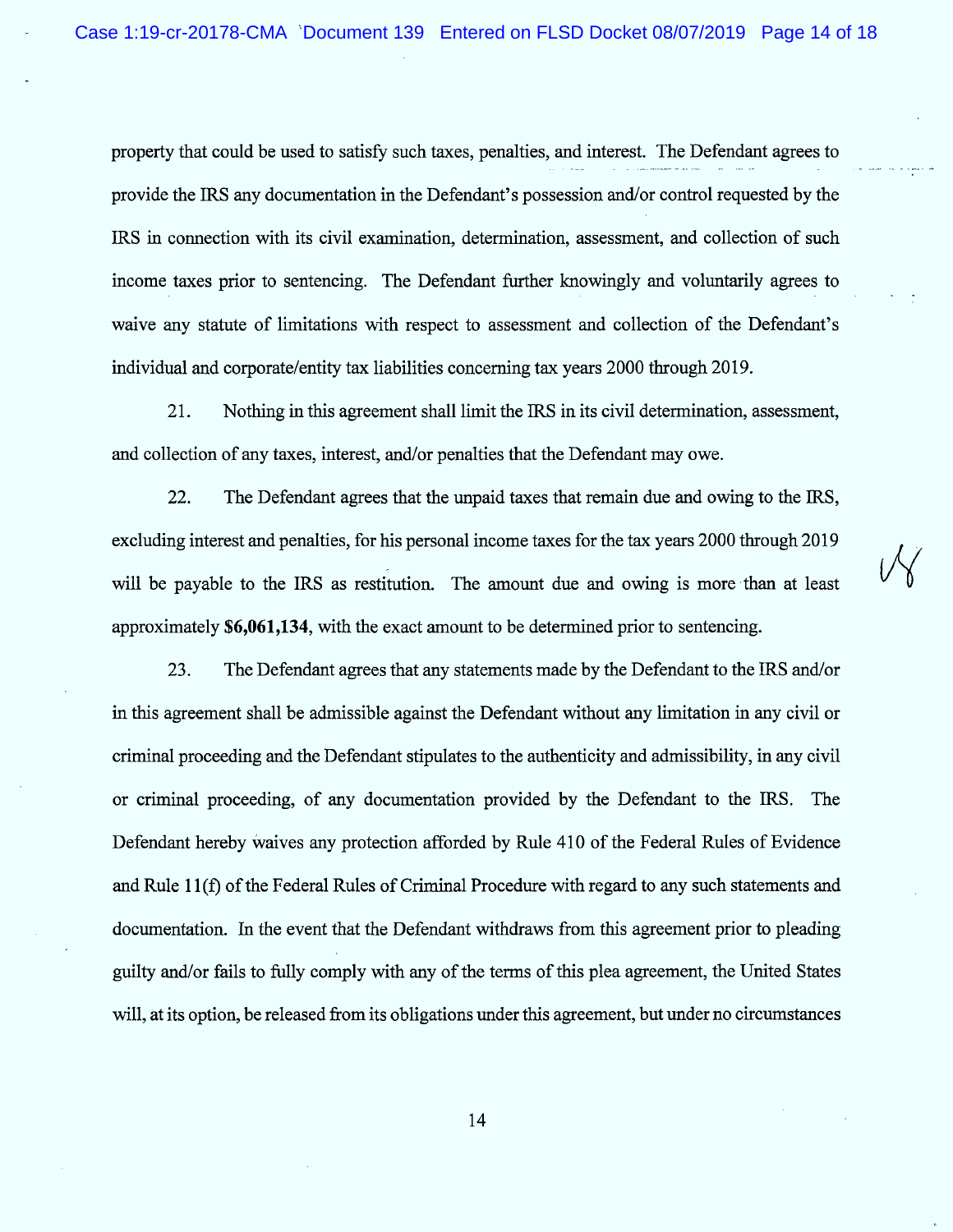property that could be used to satisfy such taxes, penalties, and interest. The Defendant agrees to provide the IRS any documentation in the Defendant's possession and/or control requested by the IRS in connection with its civil examination, determination, assessment, and collection of such income taxes prior to sentencing. The Defendant further knowingly and voluntarily agrees to waive any statute of limitations with respect to assessment and collection of the Defendant's individual and corporate/entity tax liabilities concerning tax years 2000 through 2019.

21. Nothing in this agreement shall limit the IRS in its civil determination, assessment, and collection of any taxes, interest, and/or penalties that the Defendant may owe.

22. The Defendant agrees that the unpaid taxes that remain due and owing to the IRS, excluding interest and penalties, for his personal income taxes for the tax years 2000 through 2019 will be payable to the IRS as restitution. The amount due and owing is more than at least approximately  $$6,061,134$ , with the exact amount to be determined prior to sentencing.

23. The Defendant agrees that any statements made by the Defendant to the IRS and/or in this agreement shall be admissible against the Defendant without any limitation in any civil or criminal proceeding and the Defendant stipulates to the authenticity and admissibility, in any civil or criminal proceeding, of any documentation provided by the Defendant to the IRS. The Defendant hereby Waives any protection afforded by Rule 410 of the Federal Rules of Evidence and Rule 11(f) of the Federal Rules of Criminal Procedure with regard to any such statements and documentation. In the event that the Defendant withdraws from this agreement prior to pleading guilty and/or fails to fully comply with any of the terms of this plea agreem ent, the United States will, at its option, be released from its obligations under this agreement, but under no circumstances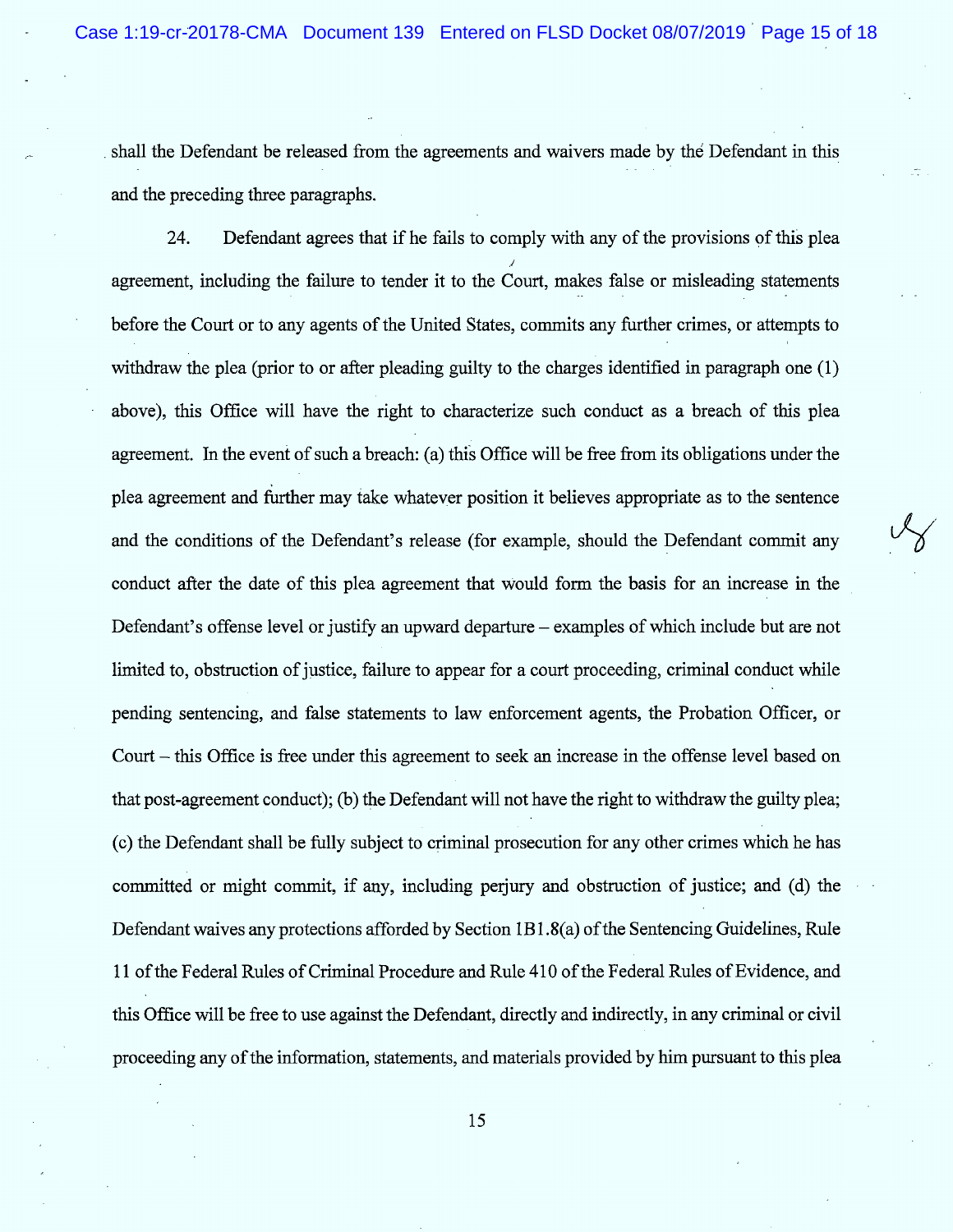shall the Defendant be released from the agreements and waivers made by the Defendant in this . . . . . and the preceding three pazagraphs.

Defendant agrees that if he fails to comply with any of the provisions of this plea 24. ./ agreement, including the failure to tender it to the Court, makes false or misleading statements before the Court or to any agents of the United States, commits any further crimes, or attempts to withdraw the plea (prior to or after pleading guilty to the charges identified in paragraph one (1) above), this Office will have the right to characterize such conduct as a breach of this plea agreement. In the event of such a breach: (a) this Office will be free from its obligations under the plea agreement and further may take whatever position it believes appropriate as to the sentence and the conditions of the Defendant's release (for example, should the Defendant commit any conduct after the date of this plea agreement that would form the basis for an increase in the Defendant's offense level or justify an upward departure – examples of which include but are not limited to, obstruction of justice, failure to appear for a court proceeding, criminal conduct while pending sentencing, and false statements to law enforcement agents, the Probation Officer, or Court – this Office is free under this agreement to seek an increase in the offense level based on that post-agreement conduct); ('b) the Defendant will not have the right to withdraw the guilty plea; (c) the Defendant shall be fully subject to criminal prosecution for any other crimes which he has committed or might commit, if any, including perjury and obstruction of justice; and (d) the Defendant waives any protections afforded by Section IB 1.8(a) of the Sentencing Guidelines, Rule 11 of the Federal Rules of Criminal Procedure and Rule 410 of the Federal Rules of Evidence, and this Office will be free to use against the Defendant, directly and indirectly, in any criminal or civil proceeding any of the information, statements, and materials provided by him pursuant to this plea

 $\sqrt{2}$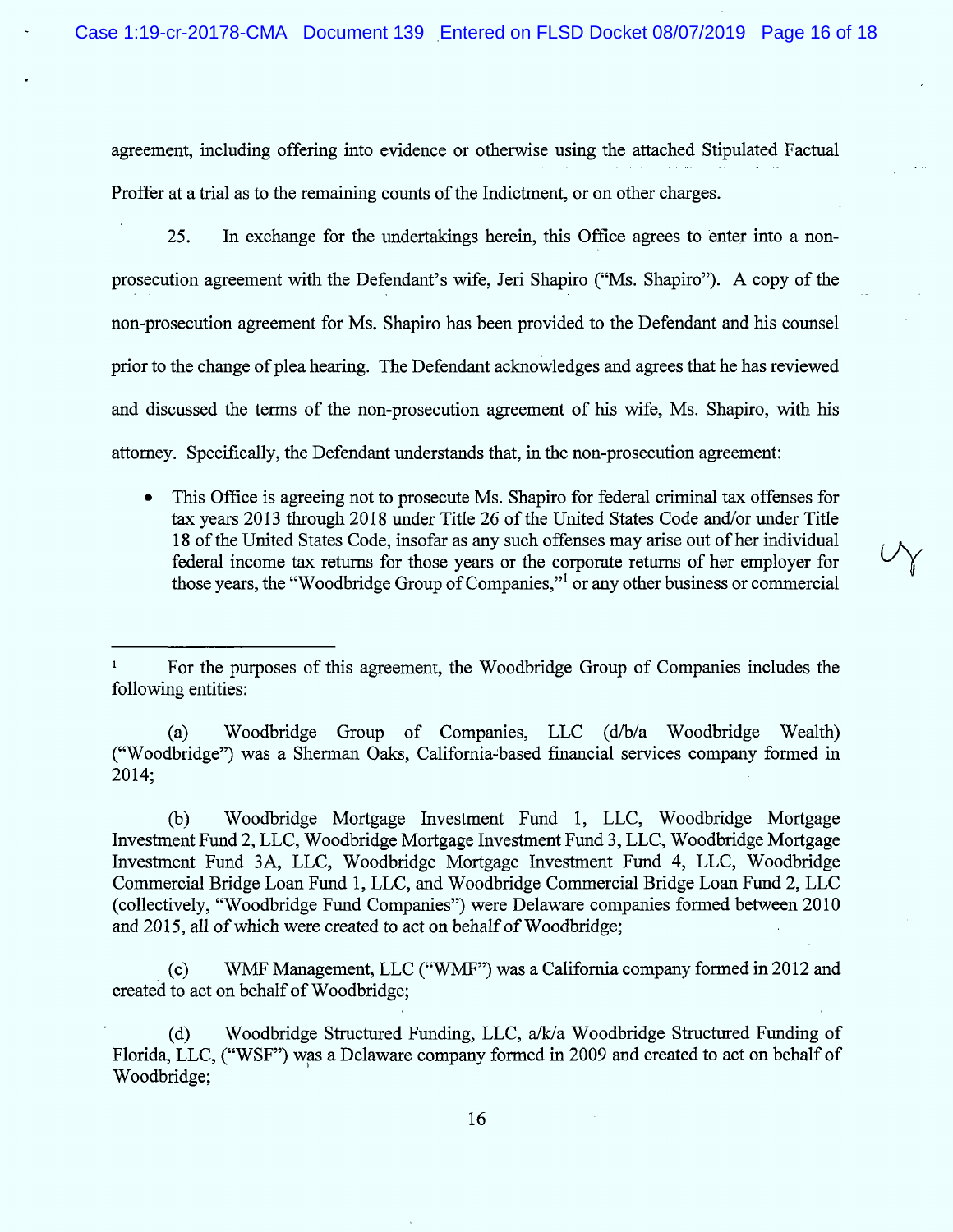agreement, including offering into evidence or otherwise using the attached Stipulated Factual Proffer at a trial as to the remaining counts of the Indictment, or on other charges.

25. In exchange for the undertakings herein, this Office agrees to enter into a nonprosecution agreement with the Defendant's wife, Jeri Shapiro ("Ms. Shapiro"). A copy of the non-prosecution agreement for Ms. Shapiro has been provided to the Defendant and his counsel prior to the change of plea hearing. The Defendant acknowledges and agrees that he has reviewed and discussed the terms of the non-prosecution agreement of his wife, Ms. Shapiro, with his attorney. Specifically, the Defendant understands that, in the non-prosecution agreement:

• This Office is agreeing not to prosecute Ms. Shapiro for federal criminal tax offenses for tax years 2013 through 2018 under Title 26 of the United States Code and/or under Title 18 of the United States Code, insofar as any such offenses may arise out of her individual federal income tax returns for those years or the corporate returns of her employer for<br>those years, the "Woodbridge Group of Companies,"<sup>1</sup> or any other business or commercial

(a) Woodbridge Group of Companies, LLC  $(d/b/a)$  Woodbridge Wealth) ("Woodbridge") was a Sherman Oaks, California-based financial services company formed in 2014;

(b) Woodbridge Mortgage Investment Fund 1, LLC, Woodbridge Mortgage Investment Fund 2, LLC, Woodbridge Mortgage Investment Fund 3, LLC, Woodbridge Mortgage Investment Fund 3A, LLC, Woodbridge Mortgage Investment Fund 4, LLC, Woodbridge Commercial Bridge Loan Fund 1, LLC, and Woodbridge Commercial Bridge Loan Fund 2, LLC (collectively, "Woodbridge Fund Companies") were Delaware companies formed between 2010 and 2015, all of which were created to act on behalf of Woodbridge;

(c) WMF Management, LLC ("WMF") was a California company formed in 2012 and created to act on behalf of Woodbridge;

' k

For the purposes of this agreement, the Woodbridge Group of Companies includes the following entities:

<sup>(</sup>d) Woodbridge Structured Funding, LLC,  $a/k/a$  Woodbridge Structured Funding of Florida, LLC, ("WSF") was a Delaware company formed in 2009 and created to act on behalf of Woodbridge;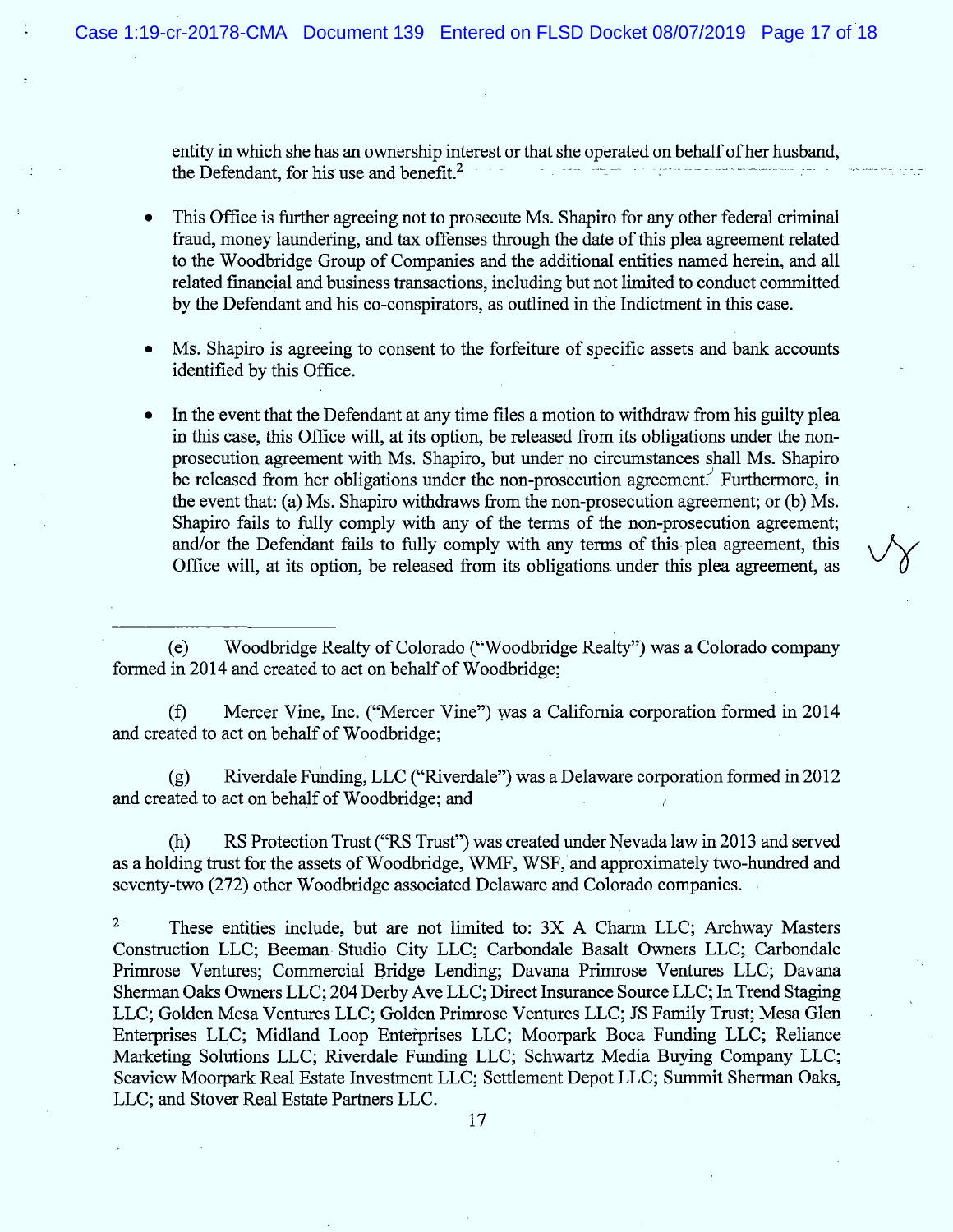entity in which she has an ownership interest or that she operated on behalf of her husband, the Defendant, for his use and benefit.<sup>2</sup>

This Office is further agreeing not to prosecute Ms. Shapiro for any other federal criminal fraud, money laundering, and tax offenses through the date of this plea agreement related to the Woodbridge Group of Companies and the additional entities named herein, and all related financial and business transactions, including but not limited to conduct committed by the Defendant and his co-conspirators, as outlined in the Indictment in this case.

Ms. Shapiro is agreeing to consent to the forfeiture of specific assets and bank accounts identified by this Office.

In the event that the Defendant at any time files a motion to withdraw from his guilty plea in this case, this Office will, at its option, be released from its obligations under the nonprosecution agreement with Ms. Shapiro, but under no circumstances shall Ms. Shapiro be released from her obligations under the non-prosecution agreement. Furthermore, in the event that: (a) Ms. Shapiro withdraws from the non-prosecution agreement; or (b) Ms. Shapiro fails to fully comply with any of the terms of the non-prosecution agreement; and/or the Defendant fails to fully comply with any terms of this plea agreement, this Office will, at its option, be released from its obligations under this plea agreement, as

(e) Woodbridge Realty of Colorado ("Woodbridge Realty") was a Colorado company formed in 2014 and created to act on behalf of Woodbridge;

(f) Mercer Vine, Inc. ("Mercer Vine") was a California corporation formed in 2014 and created to act on behalf of Woodbridge;

 $(g)$  Riverdale Funding, LLC ("Riverdale") was a Delaware corporation formed in 2012 and created to act on behalf of Woodbridge; and

(h) RS Protection Trust ("RS Trust") was created under Nevada law in 2013 and served as a holding trust for the assets of Woodbridge, WMF, WSF, and approximately two-hundred and seventy-two (272) other Woodbridge associated Delaware and Colorado companies.

 $\mathbf 2$ These entities include, but are not limited to: 3X A Charm LLC; Archway Masters Construction LLC; Beeman Studio City LLC; Carbondale Basalt Owners LLC; Carbondale Primrose Ventures; Commercial Bridge Lending; Davana Primrose Ventures LLC; Davana Sherman Oaks Owners LLC; 204 Derby Ave LLC; Direct Insurance Source LLC; In Trend Staging LLC; Golden Mesa Ventures LLC; Golden Primrose Ventures LLC; JS Family Trust; Mesa Glen Enterprises LLC; Midland Loop Enterprises LLC; Moorpark Boca Funding LLC; Reliance Marketing Solutions LLC; Riverdale Funding LLC; Schwartz Media Buying Company LLC; Seaview Moorpark Real Estate Investment LLC; Settlement Depot LLC; Summit Sherman Oaks, LLC; and Stover Real Estate Partners LLC.